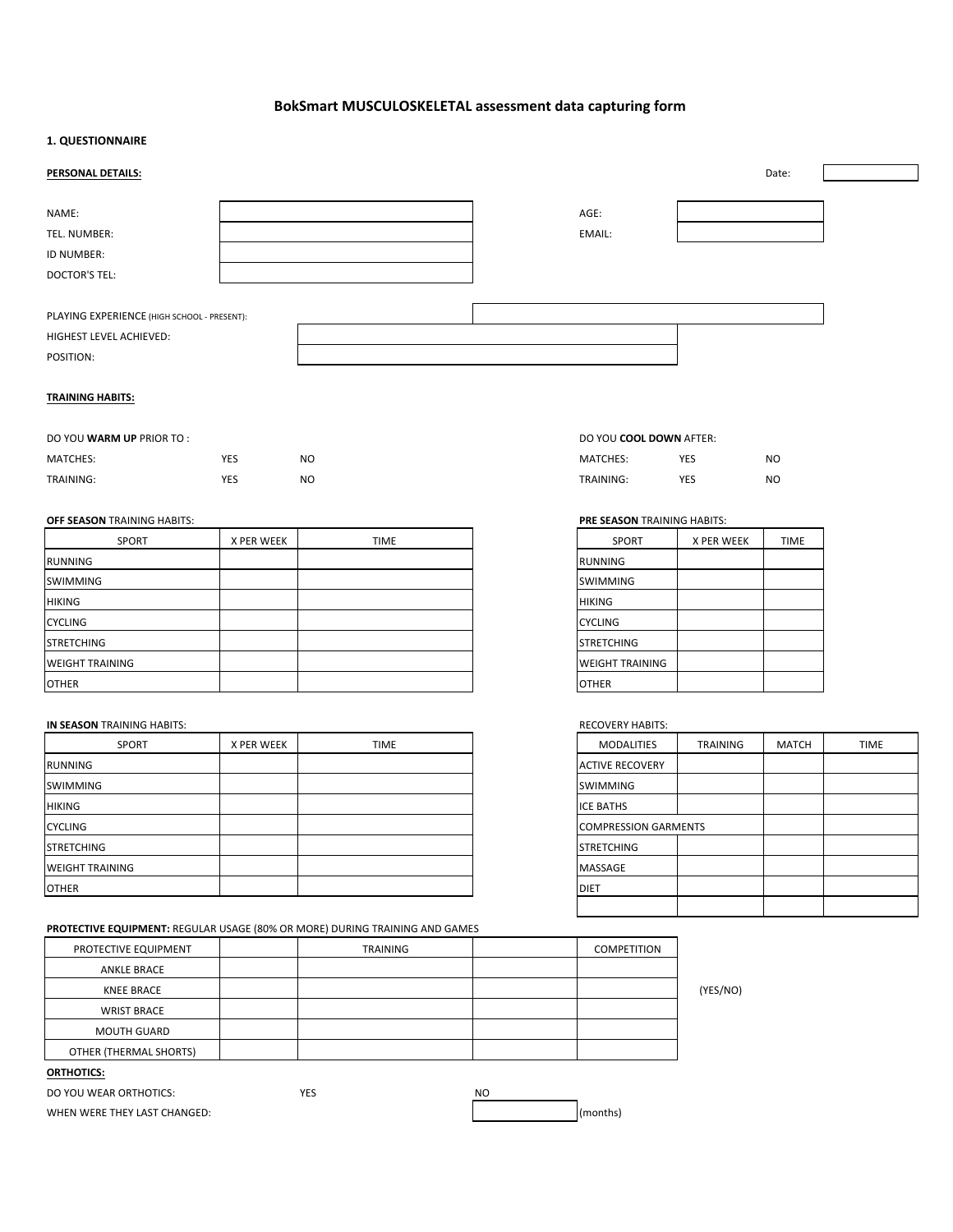# BokSmart MUSCULOSKELETAL assessment data capturing form

### **1. QUESTIONNAIRE**

| PERSONAL DETAILS:                                                                   |  |                | Date: |  |
|-------------------------------------------------------------------------------------|--|----------------|-------|--|
| NAME:<br>TEL. NUMBER:<br>ID NUMBER:<br><b>DOCTOR'S TEL:</b>                         |  | AGE:<br>EMAIL: |       |  |
| PLAYING EXPERIENCE (HIGH SCHOOL - PRESENT):<br>HIGHEST LEVEL ACHIEVED:<br>POSITION: |  |                |       |  |

### **TRAINING HABITS:**

| DO YOU <b>WARM UP</b> PRIOR TO : |     |  |
|----------------------------------|-----|--|
| MATCHES:                         | YES |  |

| CHES:        | YES |
|--------------|-----|
| <b>NING:</b> | YES |

| <b>SPORT</b>           | X PER WEEK | <b>TIME</b> | <b>SPORT</b>       | X PER WEEK | <b>TIME</b> |
|------------------------|------------|-------------|--------------------|------------|-------------|
| RUNNING                |            |             | <b>IRUNNING</b>    |            |             |
| <b>ISWIMMING</b>       |            |             | <b>ISWIMMING</b>   |            |             |
| <b>HIKING</b>          |            |             | <b>IHIKING</b>     |            |             |
| <b>ICYCLING</b>        |            |             | <b>CYCLING</b>     |            |             |
| <b>ISTRETCHING</b>     |            |             | <b>ISTRETCHING</b> |            |             |
| <b>WEIGHT TRAINING</b> |            |             | WEIGHT TRAINING    |            |             |
| <b>OTHER</b>           |            |             | <b>OTHER</b>       |            |             |

### **IN SEASON** TRAINING HABITS: **RECOVERY HABITS: RECOVERY** HABITS:

| SPORT                   | X PER WEEK | <b>TIME</b> | MODALITIES             | <b>TRAINING</b> | MATCH | <b>TIME</b> |
|-------------------------|------------|-------------|------------------------|-----------------|-------|-------------|
| RUNNING                 |            |             | <b>ACTIVE RECOVERY</b> |                 |       |             |
| <b>ISWIMMING</b>        |            |             | <b>ISWIMMING</b>       |                 |       |             |
| <b>HIKING</b>           |            |             | <b>ICE BATHS</b>       |                 |       |             |
| <b>CYCLING</b>          |            |             | COMPRESSION GARMENTS   |                 |       |             |
| <b>STRETCHING</b>       |            |             | <b>STRETCHING</b>      |                 |       |             |
| <b>IWEIGHT TRAINING</b> |            |             | <b>IMASSAGE</b>        |                 |       |             |
| <b>OTHER</b>            |            |             | <b>IDIET</b>           |                 |       |             |

### **PROTECTIVE EQUIPMENT:** REGULAR USAGE (80% OR MORE) DURING TRAINING AND GAMES

| PROTECTIVE EQUIPMENT   | <b>TRAINING</b> | COMPETITION |          |
|------------------------|-----------------|-------------|----------|
| <b>ANKLE BRACE</b>     |                 |             |          |
| KNEE BRACE             |                 |             | (YES/NO) |
| <b>WRIST BRACE</b>     |                 |             |          |
| <b>MOUTH GUARD</b>     |                 |             |          |
| OTHER (THERMAL SHORTS) |                 |             |          |
| $-1 - 1 - 1 - 1 - 1$   |                 |             |          |

## **ORTHOTICS:**

DO YOU WEAR ORTHOTICS: YES YES NO WHEN WERE THEY LAST CHANGED:  $\vert$  (months)

## **DO YOU COOL DOWN AFTER:**

| MATCHES:  | $V = C$<br>د∟<br>__ | <b>NO</b><br>___ | MATCHES:         | <b>VF</b><br>- -<br>$\sim$ | N <sub>C</sub> |
|-----------|---------------------|------------------|------------------|----------------------------|----------------|
| TRAINING: | $V =$<br>د∟         | NC               | <b>TRAINING:</b> | <b>VE</b>                  | N <sub>C</sub> |

### **OFF SEASON** TRAINING HABITS: **PRE SEASON** TRAINING HABITS:

| <b>SPORT</b>           | X PER WEEK | <b>TIME</b> |
|------------------------|------------|-------------|
| <b>RUNNING</b>         |            |             |
| <b>SWIMMING</b>        |            |             |
| <b>HIKING</b>          |            |             |
| <b>CYCLING</b>         |            |             |
| <b>STRETCHING</b>      |            |             |
| <b>WEIGHT TRAINING</b> |            |             |
| <b>OTHER</b>           |            |             |

| <b>MODALITIES</b>           | <b>TRAINING</b> | <b>MATCH</b> | <b>TIME</b> |
|-----------------------------|-----------------|--------------|-------------|
| <b>ACTIVE RECOVERY</b>      |                 |              |             |
| <b>SWIMMING</b>             |                 |              |             |
| <b>ICE BATHS</b>            |                 |              |             |
| <b>COMPRESSION GARMENTS</b> |                 |              |             |
| <b>STRETCHING</b>           |                 |              |             |
| <b>MASSAGE</b>              |                 |              |             |
| <b>DIET</b>                 |                 |              |             |
|                             |                 |              |             |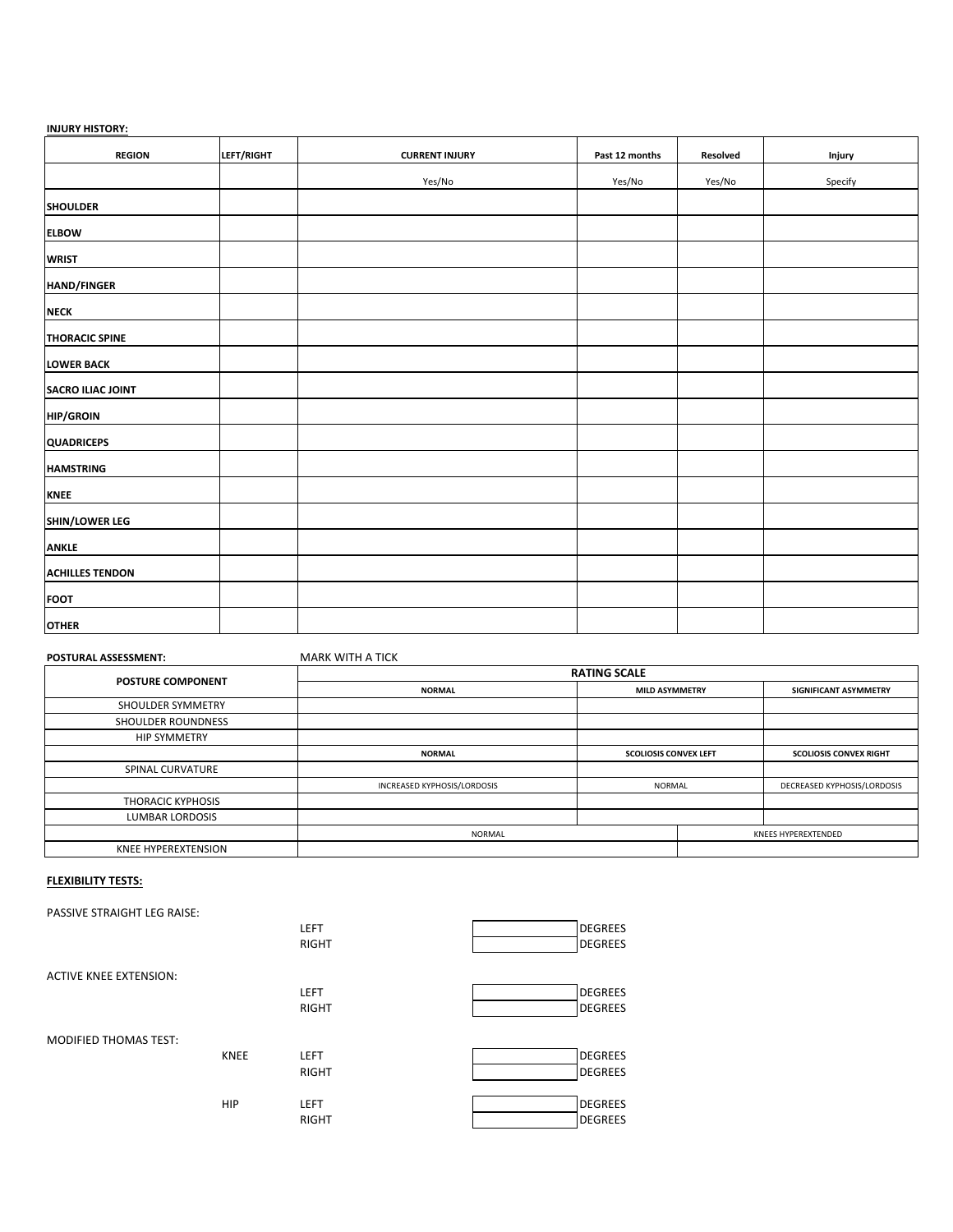## **INJURY HISTORY:**

| <b>REGION</b>            | LEFT/RIGHT | <b>CURRENT INJURY</b> | Past 12 months | Resolved | Injury  |
|--------------------------|------------|-----------------------|----------------|----------|---------|
|                          |            | Yes/No                | Yes/No         | Yes/No   | Specify |
| <b>SHOULDER</b>          |            |                       |                |          |         |
| <b>ELBOW</b>             |            |                       |                |          |         |
| <b>WRIST</b>             |            |                       |                |          |         |
| HAND/FINGER              |            |                       |                |          |         |
| <b>NECK</b>              |            |                       |                |          |         |
| <b>THORACIC SPINE</b>    |            |                       |                |          |         |
| <b>LOWER BACK</b>        |            |                       |                |          |         |
| <b>SACRO ILIAC JOINT</b> |            |                       |                |          |         |
| <b>HIP/GROIN</b>         |            |                       |                |          |         |
| <b>QUADRICEPS</b>        |            |                       |                |          |         |
| <b>HAMSTRING</b>         |            |                       |                |          |         |
| KNEE                     |            |                       |                |          |         |
| SHIN/LOWER LEG           |            |                       |                |          |         |
| <b>ANKLE</b>             |            |                       |                |          |         |
| <b>ACHILLES TENDON</b>   |            |                       |                |          |         |
| <b>FOOT</b>              |            |                       |                |          |         |
| <b>OTHER</b>             |            |                       |                |          |         |

## **POSTURAL ASSESSMENT:** MARK WITH A TICK

| <b>POSTURE COMPONENT</b>  | <b>RATING SCALE</b>                    |                              |  |                               |
|---------------------------|----------------------------------------|------------------------------|--|-------------------------------|
|                           | <b>NORMAL</b><br><b>MILD ASYMMETRY</b> |                              |  | SIGNIFICANT ASYMMETRY         |
| SHOULDER SYMMETRY         |                                        |                              |  |                               |
| <b>SHOULDER ROUNDNESS</b> |                                        |                              |  |                               |
| <b>HIP SYMMETRY</b>       |                                        |                              |  |                               |
|                           | <b>NORMAL</b>                          | <b>SCOLIOSIS CONVEX LEFT</b> |  | <b>SCOLIOSIS CONVEX RIGHT</b> |
| SPINAL CURVATURE          |                                        |                              |  |                               |
|                           | INCREASED KYPHOSIS/LORDOSIS            | NORMAL                       |  | DECREASED KYPHOSIS/LORDOSIS   |
| THORACIC KYPHOSIS         |                                        |                              |  |                               |
| <b>LUMBAR LORDOSIS</b>    |                                        |                              |  |                               |
|                           | NORMAL                                 |                              |  | KNEES HYPEREXTENDED           |
| KNEE HYPEREXTENSION       |                                        |                              |  |                               |

## **FLEXIBILITY TESTS:**

| <b>PASSIVE STRAIGHT LEG RAISE:</b> |             |              |                |
|------------------------------------|-------------|--------------|----------------|
|                                    |             | <b>LEFT</b>  | DEGREES        |
|                                    |             | <b>RIGHT</b> | DEGREES        |
|                                    |             |              |                |
| <b>ACTIVE KNEE EXTENSION:</b>      |             |              |                |
|                                    |             | <b>LEFT</b>  | <b>DEGREES</b> |
|                                    |             | <b>RIGHT</b> | DEGREES        |
|                                    |             |              |                |
| <b>MODIFIED THOMAS TEST:</b>       |             |              |                |
|                                    | <b>KNEE</b> | <b>LEFT</b>  | <b>DEGREES</b> |
|                                    |             | <b>RIGHT</b> | DEGREES        |
|                                    |             |              |                |
|                                    | <b>HIP</b>  | <b>LEFT</b>  | <b>DEGREES</b> |
|                                    |             | <b>RIGHT</b> | DEGREES        |
|                                    |             |              |                |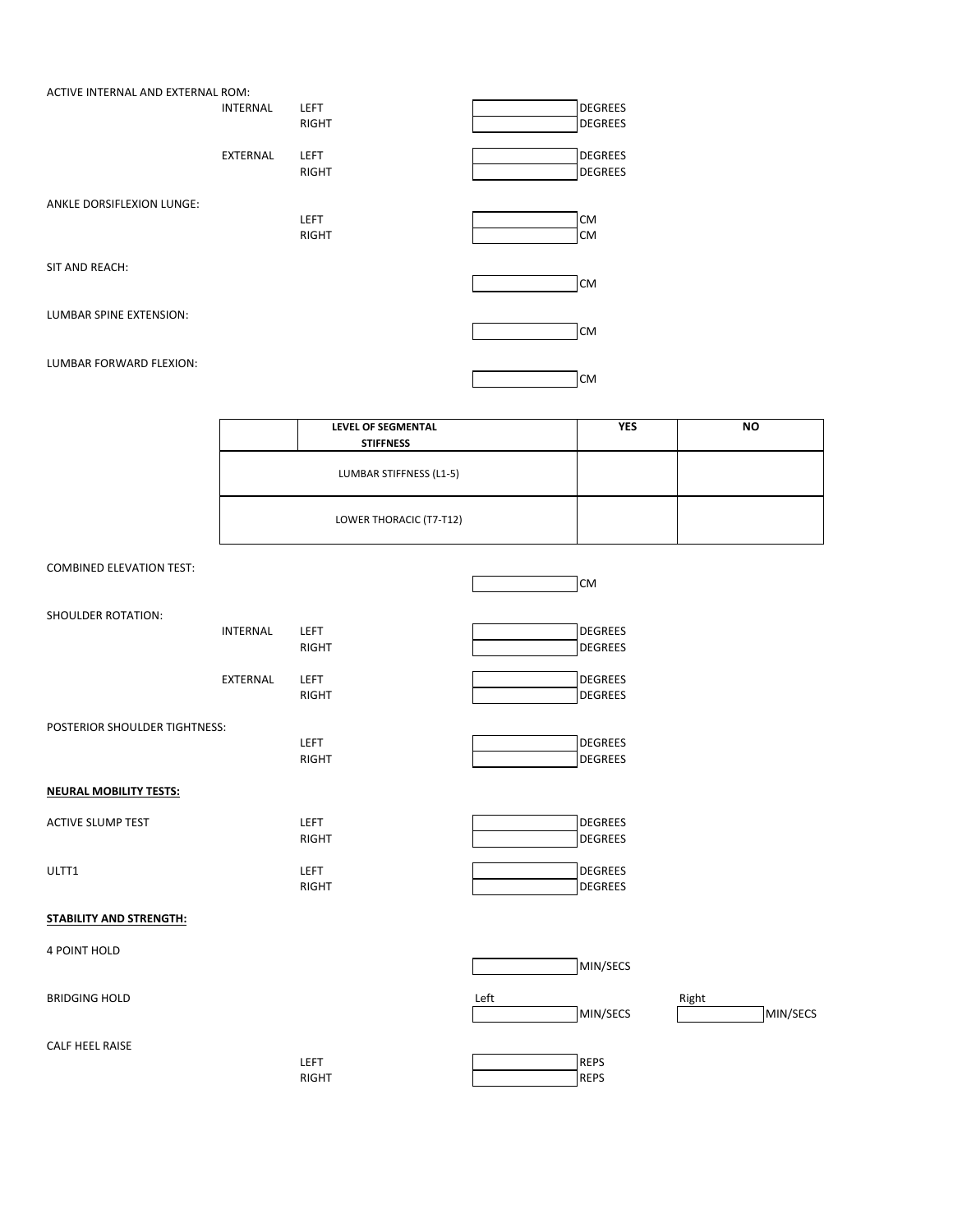|                         | ACTIVE INTERNAL AND EXTERNAL ROM: |              |           |
|-------------------------|-----------------------------------|--------------|-----------|
|                         | <b>INTERNAL</b>                   | <b>LEFT</b>  | DEGREES   |
|                         |                                   | <b>RIGHT</b> | DEGREES   |
|                         | <b>EXTERNAL</b>                   | <b>LEFT</b>  | DEGREES   |
|                         |                                   | <b>RIGHT</b> | DEGREES   |
|                         | ANKLE DORSIFLEXION LUNGE:         |              |           |
|                         |                                   | <b>LEFT</b>  | <b>CM</b> |
|                         |                                   | <b>RIGHT</b> | <b>CM</b> |
| SIT AND REACH:          |                                   |              |           |
|                         |                                   |              | <b>CM</b> |
| LUMBAR SPINE EXTENSION: |                                   |              | lсм       |
|                         |                                   |              |           |
|                         | LUMBAR FORWARD FLEXION:           |              | <b>CM</b> |

| <b>LEVEL OF SEGMENTAL</b> | <b>YES</b> | <b>NO</b> |
|---------------------------|------------|-----------|
| <b>STIFFNESS</b>          |            |           |
| LUMBAR STIFFNESS (L1-5)   |            |           |
| LOWER THORACIC (T7-T12)   |            |           |

# COMBINED ELEVATION TEST:

|                                |                 |              | lсм            |
|--------------------------------|-----------------|--------------|----------------|
| <b>SHOULDER ROTATION:</b>      |                 |              |                |
|                                | <b>INTERNAL</b> | <b>LEFT</b>  | <b>DEGREES</b> |
|                                |                 | <b>RIGHT</b> | <b>DEGREES</b> |
|                                | EXTERNAL        | LEFT         | <b>DEGREES</b> |
|                                |                 | <b>RIGHT</b> | <b>DEGREES</b> |
| POSTERIOR SHOULDER TIGHTNESS:  |                 |              |                |
|                                |                 | LEFT         | <b>DEGREES</b> |
|                                |                 | <b>RIGHT</b> | <b>DEGREES</b> |
| <b>NEURAL MOBILITY TESTS:</b>  |                 |              |                |
| <b>ACTIVE SLUMP TEST</b>       |                 | <b>LEFT</b>  | <b>DEGREES</b> |
|                                |                 | <b>RIGHT</b> | <b>DEGREES</b> |
| ULTT1                          |                 | <b>LEFT</b>  | <b>DEGREES</b> |
|                                |                 | <b>RIGHT</b> | <b>DEGREES</b> |
| <b>STABILITY AND STRENGTH:</b> |                 |              |                |
| 4 POINT HOLD                   |                 |              |                |
|                                |                 |              | MIN/SECS       |

BRIDGING HOLD **Right** Right Right Right Right Right Right Right Right Right Right Right Right Right Right Right Right Right Right Right Right Right Right Right Right Right Right Right Right Right Right Right Right Right Ri

CALF HEEL RAISE

| LEFT  | DEDC       |
|-------|------------|
| RIGHT | <b>EDC</b> |

 $\sqrt{\frac{M}{S}}$